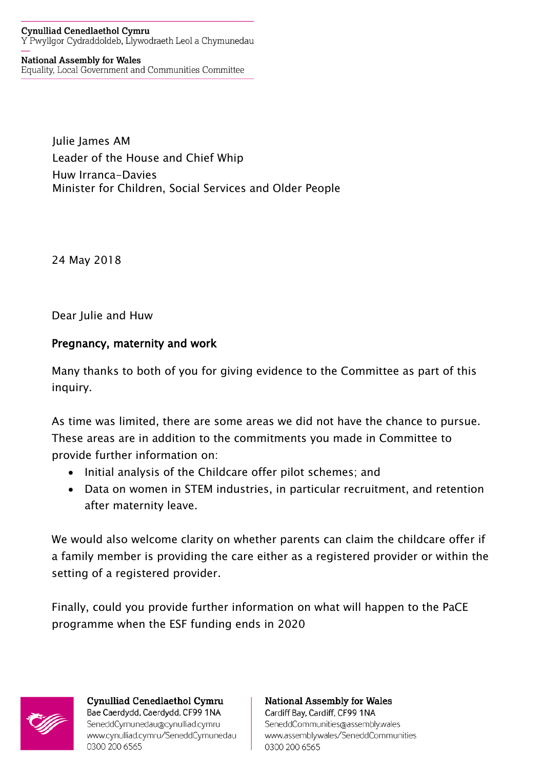## **Cynulliad Cenedlaethol Cymru** Y Pwyllgor Cydraddoldeb, Llywodraeth Leol a Chymunedau

**National Assembly for Wales** Equality, Local Government and Communities Committee

> Julie James AM Leader of the House and Chief Whip Huw Irranca-Davies Minister for Children, Social Services and Older People

24 May 2018

Dear Julie and Huw

## Pregnancy, maternity and work

Many thanks to both of you for giving evidence to the Committee as part of this inquiry.

As time was limited, there are some areas we did not have the chance to pursue. These areas are in addition to the commitments you made in Committee to provide further information on:

- Initial analysis of the Childcare offer pilot schemes; and
- Data on women in STEM industries, in particular recruitment, and retention after maternity leave.

We would also welcome clarity on whether parents can claim the childcare offer if a family member is providing the care either as a registered provider or within the setting of a registered provider.

Finally, could you provide further information on what will happen to the PaCE programme when the ESF funding ends in 2020



**Cynulliad Cenedlaethol Cymru** Bae Caerdydd, Caerdydd, CF99 1NA SeneddCymunedau@cynulliad.cymru www.cynulliad.cymru/SeneddCymunedau 0300 200 6565

**National Assembly for Wales** Cardiff Bay, Cardiff, CF99 1NA SeneddCommunities@assembly.wales www.assembly.wales/SeneddCommunities 0300 200 6565